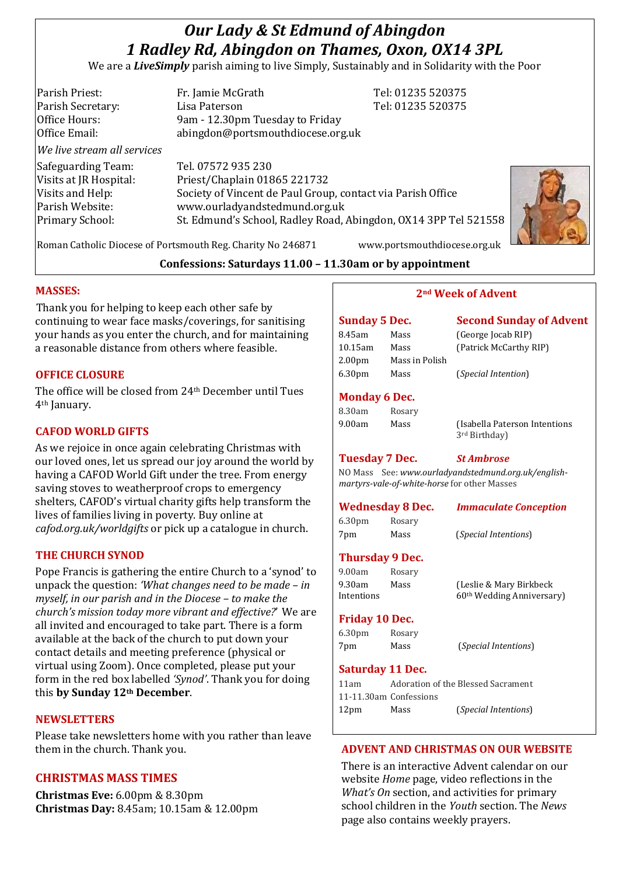# *Our Lady & St Edmund of Abingdon 1 Radley Rd, Abingdon on Thames, Oxon, OX14 3PL*

We are a *LiveSimply* parish aiming to live Simply, Sustainably and in Solidarity with the Poor

| Parish Priest:<br>Parish Secretary: | Fr. Jamie McGrath<br>Lisa Paterson                              | Tel: 01235 520375<br>Tel: 01235 520375 |  |
|-------------------------------------|-----------------------------------------------------------------|----------------------------------------|--|
| Office Hours:                       | 9am - 12.30pm Tuesday to Friday                                 |                                        |  |
| Office Email:                       | abingdon@portsmouthdiocese.org.uk                               |                                        |  |
| We live stream all services         |                                                                 |                                        |  |
| Safeguarding Team:                  | Tel. 07572 935 230                                              |                                        |  |
| Visits at JR Hospital:              | Priest/Chaplain 01865 221732                                    |                                        |  |
| Visits and Help:                    | Society of Vincent de Paul Group, contact via Parish Office     |                                        |  |
| Parish Website:                     | www.ourladyandstedmund.org.uk                                   |                                        |  |
| Primary School:                     | St. Edmund's School, Radley Road, Abingdon, OX14 3PP Tel 521558 |                                        |  |
|                                     |                                                                 |                                        |  |



Roman Catholic Diocese of Portsmouth Reg. Charity No 246871 www.portsmouthdiocese.org.uk

# **Confessions: Saturdays 11.00 – 11.30am or by appointment**

#### **MASSES:**

Thank you for helping to keep each other safe by continuing to wear face masks/coverings, for sanitising your hands as you enter the church, and for maintaining a reasonable distance from others where feasible.

#### **OFFICE CLOSURE**

The office will be closed from 24th December until Tues 4th January.

#### **CAFOD WORLD GIFTS**

As we rejoice in once again celebrating Christmas with our loved ones, let us spread our joy around the world by having a CAFOD World Gift under the tree. From energy saving stoves to weatherproof crops to emergency shelters, CAFOD's virtual charity gifts help transform the lives of families living in poverty. Buy online at *cafod.org.uk/worldgifts* or pick up a catalogue in church.

#### **THE CHURCH SYNOD**

Pope Francis is gathering the entire Church to a 'synod' to unpack the question: *'What changes need to be made – in myself, in our parish and in the Diocese – to make the church's mission today more vibrant and effective?*' We are all invited and encouraged to take part. There is a form available at the back of the church to put down your contact details and meeting preference (physical or virtual using Zoom). Once completed, please put your form in the red box labelled *'Synod'*. Thank you for doing this **by Sunday 12th December**.

#### **NEWSLETTERS**

Please take newsletters home with you rather than leave them in the church. Thank you.

# **CHRISTMAS MASS TIMES**

**Christmas Eve:** 6.00pm & 8.30pm **Christmas Day:** 8.45am; 10.15am & 12.00pm

**2nd Week of Advent**

| <b>Sunday 5 Dec.</b> |                | <b>Second Sunday of Advent</b> |
|----------------------|----------------|--------------------------------|
| 8.45am               | Mass           | (George Jocab RIP)             |
| $10.15$ am           | Mass           | (Patrick McCarthy RIP)         |
| 2.00 <sub>pm</sub>   | Mass in Polish |                                |
| 6.30 <sub>pm</sub>   | Mass           | ( <i>Special Intention</i> )   |

#### **Monday 6 Dec.**

| 8.30am | Rosary |                                |
|--------|--------|--------------------------------|
| 9.00am | Mass   | (Isabella Paterson Intentions) |
|        |        | 3rd Birthday)                  |

#### **Tuesday 7 Dec.** *St Ambrose*

NO Mass See: *www.ourladyandstedmund.org.uk/englishmartyrs-vale-of-white-horse* for other Masses

# **Wednesday 8 Dec.** *Immaculate Conception*

6.30pm Rosary 7pm Mass (*Special Intentions*)

#### **Thursday 9 Dec.**

| 9.00am               | Rosary |                                                                   |
|----------------------|--------|-------------------------------------------------------------------|
| 9.30am<br>Intentions | Mass   | (Leslie & Mary Birkbeck)<br>60 <sup>th</sup> Wedding Anniversary) |

#### **Friday 10 Dec.**

6.30pm Rosary 7pm Mass (*Special Intentions*)

#### **Saturday 11 Dec.**

| 11am             |                        | Adoration of the Blessed Sacrament |
|------------------|------------------------|------------------------------------|
|                  | 11-11.30am Confessions |                                    |
| 12 <sub>pm</sub> | Mass                   | ( <i>Special Intentions</i> )      |

# **ADVENT AND CHRISTMAS ON OUR WEBSITE**

There is an interactive Advent calendar on our website *Home* page, video reflections in the *What's On* section, and activities for primary school children in the *Youth* section. The *News* page also contains weekly prayers.